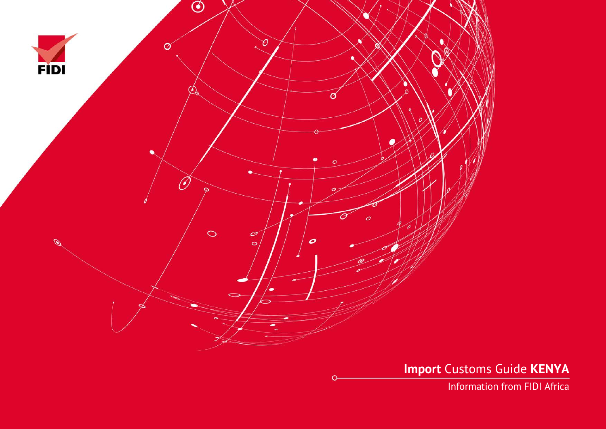

**Import** Customs Guide **KENYA**

Information from FIDI Africa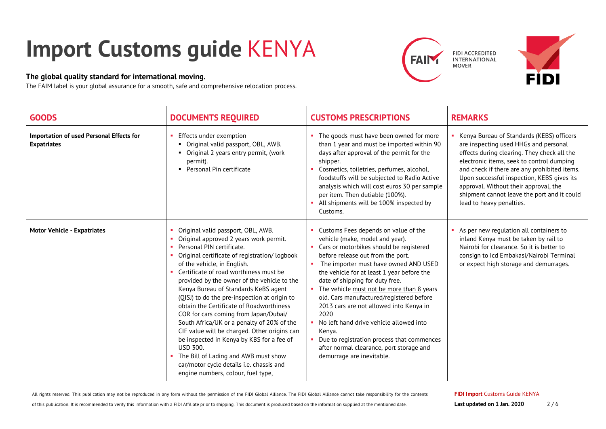## **Import Customs guide** KENYA

## **The global quality standard for international moving.**

The FAIM label is your global assurance for a smooth, safe and comprehensive relocation process.





| <b>GOODS</b>                                                   | <b>DOCUMENTS REQUIRED</b>                                                                                                                                                                                                                                                                                                                                                                                                                                                                                                                                                                                                                                                                                                                                    | <b>CUSTOMS PRESCRIPTIONS</b>                                                                                                                                                                                                                                                                                                                                                                                                                                                                                                                                                                                    | <b>REMARKS</b>                                                                                                                                                                                                                                                                                                                                                                                   |
|----------------------------------------------------------------|--------------------------------------------------------------------------------------------------------------------------------------------------------------------------------------------------------------------------------------------------------------------------------------------------------------------------------------------------------------------------------------------------------------------------------------------------------------------------------------------------------------------------------------------------------------------------------------------------------------------------------------------------------------------------------------------------------------------------------------------------------------|-----------------------------------------------------------------------------------------------------------------------------------------------------------------------------------------------------------------------------------------------------------------------------------------------------------------------------------------------------------------------------------------------------------------------------------------------------------------------------------------------------------------------------------------------------------------------------------------------------------------|--------------------------------------------------------------------------------------------------------------------------------------------------------------------------------------------------------------------------------------------------------------------------------------------------------------------------------------------------------------------------------------------------|
| Importation of used Personal Effects for<br><b>Expatriates</b> | Effects under exemption<br>• Original valid passport, OBL, AWB.<br>• Original 2 years entry permit, (work<br>permit).<br>• Personal Pin certificate                                                                                                                                                                                                                                                                                                                                                                                                                                                                                                                                                                                                          | The goods must have been owned for more<br>than 1 year and must be imported within 90<br>days after approval of the permit for the<br>shipper.<br>Cosmetics, toiletries, perfumes, alcohol,<br>foodstuffs will be subjected to Radio Active<br>analysis which will cost euros 30 per sample<br>per item. Then dutiable (100%).<br>All shipments will be 100% inspected by<br>Customs.                                                                                                                                                                                                                           | Kenya Bureau of Standards (KEBS) officers<br>are inspecting used HHGs and personal<br>effects during clearing. They check all the<br>electronic items, seek to control dumping<br>and check if there are any prohibited items.<br>Upon successful inspection, KEBS gives its<br>approval. Without their approval, the<br>shipment cannot leave the port and it could<br>lead to heavy penalties. |
| <b>Motor Vehicle - Expatriates</b>                             | Original valid passport, OBL, AWB.<br>Original approved 2 years work permit.<br>Personal PIN certificate.<br>٠<br>Original certificate of registration/ logbook<br>of the vehicle, in English.<br>Certificate of road worthiness must be<br>provided by the owner of the vehicle to the<br>Kenya Bureau of Standards KeBS agent<br>(QISJ) to do the pre-inspection at origin to<br>obtain the Certificate of Roadworthiness<br>COR for cars coming from Japan/Dubai/<br>South Africa/UK or a penalty of 20% of the<br>CIF value will be charged. Other origins can<br>be inspected in Kenya by KBS for a fee of<br><b>USD 300.</b><br>The Bill of Lading and AWB must show<br>car/motor cycle details i.e. chassis and<br>engine numbers, colour, fuel type, | • Customs Fees depends on value of the<br>vehicle (make, model and year).<br>• Cars or motorbikes should be registered<br>before release out from the port.<br>The importer must have owned AND USED<br>the vehicle for at least 1 year before the<br>date of shipping for duty free.<br>The vehicle must not be more than 8 years<br>old. Cars manufactured/registered before<br>2013 cars are not allowed into Kenya in<br>2020<br>• No left hand drive vehicle allowed into<br>Kenya.<br>Due to registration process that commences<br>after normal clearance, port storage and<br>demurrage are inevitable. | As per new regulation all containers to<br>inland Kenya must be taken by rail to<br>Nairobi for clearance. So it is better to<br>consign to Icd Embakasi/Nairobi Terminal<br>or expect high storage and demurrages.                                                                                                                                                                              |

of this publication. It is recommended to verify this information with a FIDI Affiliate prior to shipping. This document is produced based on the information supplied at the mentioned date.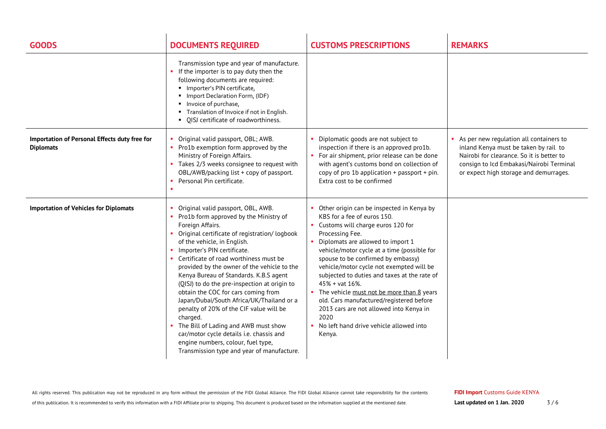| <b>GOODS</b>                                                      | <b>DOCUMENTS REQUIRED</b>                                                                                                                                                                                                                                                                                                                                                                                                                                                                                                                                                                                                                                                                                             | <b>CUSTOMS PRESCRIPTIONS</b>                                                                                                                                                                                                                                                                                                                                                                                                                                                                                                                                                        | <b>REMARKS</b>                                                                                                                                                                                                      |
|-------------------------------------------------------------------|-----------------------------------------------------------------------------------------------------------------------------------------------------------------------------------------------------------------------------------------------------------------------------------------------------------------------------------------------------------------------------------------------------------------------------------------------------------------------------------------------------------------------------------------------------------------------------------------------------------------------------------------------------------------------------------------------------------------------|-------------------------------------------------------------------------------------------------------------------------------------------------------------------------------------------------------------------------------------------------------------------------------------------------------------------------------------------------------------------------------------------------------------------------------------------------------------------------------------------------------------------------------------------------------------------------------------|---------------------------------------------------------------------------------------------------------------------------------------------------------------------------------------------------------------------|
|                                                                   | Transmission type and year of manufacture.<br>If the importer is to pay duty then the<br>following documents are required:<br>· Importer's PIN certificate,<br>Import Declaration Form, (IDF)<br>Invoice of purchase,<br>" Translation of Invoice if not in English.<br>QISJ certificate of roadworthiness.                                                                                                                                                                                                                                                                                                                                                                                                           |                                                                                                                                                                                                                                                                                                                                                                                                                                                                                                                                                                                     |                                                                                                                                                                                                                     |
| Importation of Personal Effects duty free for<br><b>Diplomats</b> | Original valid passport, OBL; AWB.<br>• Pro1b exemption form approved by the<br>Ministry of Foreign Affairs.<br>• Takes 2/3 weeks consignee to request with<br>OBL/AWB/packing list + copy of passport.<br>Personal Pin certificate.                                                                                                                                                                                                                                                                                                                                                                                                                                                                                  | Diplomatic goods are not subject to<br>inspection if there is an approved pro1b.<br>• For air shipment, prior release can be done<br>with agent's customs bond on collection of<br>copy of pro 1b application + passport + pin.<br>Extra cost to be confirmed                                                                                                                                                                                                                                                                                                                       | As per new regulation all containers to<br>inland Kenya must be taken by rail to<br>Nairobi for clearance. So it is better to<br>consign to Icd Embakasi/Nairobi Terminal<br>or expect high storage and demurrages. |
| <b>Importation of Vehicles for Diplomats</b>                      | Original valid passport, OBL, AWB.<br>Pro1b form approved by the Ministry of<br>Foreign Affairs.<br>Original certificate of registration/ logbook<br>of the vehicle, in English.<br>Importer's PIN certificate.<br>Certificate of road worthiness must be<br>provided by the owner of the vehicle to the<br>Kenya Bureau of Standards. K.B.S agent<br>(QISJ) to do the pre-inspection at origin to<br>obtain the COC for cars coming from<br>Japan/Dubai/South Africa/UK/Thailand or a<br>penalty of 20% of the CIF value will be<br>charged.<br>The Bill of Lading and AWB must show<br>car/motor cycle details i.e. chassis and<br>engine numbers, colour, fuel type,<br>Transmission type and year of manufacture. | Other origin can be inspected in Kenya by<br>KBS for a fee of euros 150.<br>• Customs will charge euros 120 for<br>Processing Fee.<br>• Diplomats are allowed to import 1<br>vehicle/motor cycle at a time (possible for<br>spouse to be confirmed by embassy)<br>vehicle/motor cycle not exempted will be<br>subjected to duties and taxes at the rate of<br>$45\%$ + vat 16\%.<br>• The vehicle must not be more than 8 years<br>old. Cars manufactured/registered before<br>2013 cars are not allowed into Kenya in<br>2020<br>No left hand drive vehicle allowed into<br>Kenya. |                                                                                                                                                                                                                     |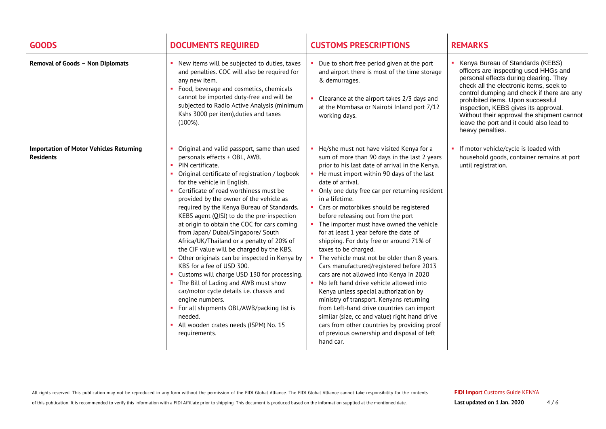| <b>GOODS</b>                                                       | <b>DOCUMENTS REQUIRED</b>                                                                                                                                                                                                                                                                                                                                                                                                                                                                                                                                                                                                                                                                                                                                                                                                                                                                                                | <b>CUSTOMS PRESCRIPTIONS</b>                                                                                                                                                                                                                                                                                                                                                                                                                                                                                                                                                                                                                                                                                                                                                                                                                                                                                                                                                                                            | <b>REMARKS</b>                                                                                                                                                                                                                                                                                                                                                                                            |
|--------------------------------------------------------------------|--------------------------------------------------------------------------------------------------------------------------------------------------------------------------------------------------------------------------------------------------------------------------------------------------------------------------------------------------------------------------------------------------------------------------------------------------------------------------------------------------------------------------------------------------------------------------------------------------------------------------------------------------------------------------------------------------------------------------------------------------------------------------------------------------------------------------------------------------------------------------------------------------------------------------|-------------------------------------------------------------------------------------------------------------------------------------------------------------------------------------------------------------------------------------------------------------------------------------------------------------------------------------------------------------------------------------------------------------------------------------------------------------------------------------------------------------------------------------------------------------------------------------------------------------------------------------------------------------------------------------------------------------------------------------------------------------------------------------------------------------------------------------------------------------------------------------------------------------------------------------------------------------------------------------------------------------------------|-----------------------------------------------------------------------------------------------------------------------------------------------------------------------------------------------------------------------------------------------------------------------------------------------------------------------------------------------------------------------------------------------------------|
| <b>Removal of Goods - Non Diplomats</b>                            | • New items will be subjected to duties, taxes<br>and penalties. COC will also be required for<br>any new item.<br>• Food, beverage and cosmetics, chemicals<br>cannot be imported duty-free and will be<br>subjected to Radio Active Analysis (minimum<br>Kshs 3000 per item), duties and taxes<br>$(100\%).$                                                                                                                                                                                                                                                                                                                                                                                                                                                                                                                                                                                                           | • Due to short free period given at the port<br>and airport there is most of the time storage<br>& demurrages.<br>• Clearance at the airport takes 2/3 days and<br>at the Mombasa or Nairobi Inland port 7/12<br>working days.                                                                                                                                                                                                                                                                                                                                                                                                                                                                                                                                                                                                                                                                                                                                                                                          | • Kenya Bureau of Standards (KEBS)<br>officers are inspecting used HHGs and<br>personal effects during clearing. They<br>check all the electronic items, seek to<br>control dumping and check if there are any<br>prohibited items. Upon successful<br>inspection, KEBS gives its approval.<br>Without their approval the shipment cannot<br>leave the port and it could also lead to<br>heavy penalties. |
| <b>Importation of Motor Vehicles Returning</b><br><b>Residents</b> | Original and valid passport, same than used<br>personals effects + OBL, AWB.<br>PIN certificate.<br>×.<br>Original certificate of registration / logbook<br>for the vehicle in English.<br>• Certificate of road worthiness must be<br>provided by the owner of the vehicle as<br>required by the Kenya Bureau of Standards.<br>KEBS agent (QISJ) to do the pre-inspection<br>at origin to obtain the COC for cars coming<br>from Japan/ Dubai/Singapore/ South<br>Africa/UK/Thailand or a penalty of 20% of<br>the CIF value will be charged by the KBS.<br>• Other originals can be inspected in Kenya by<br>KBS for a fee of USD 300.<br>• Customs will charge USD 130 for processing.<br>• The Bill of Lading and AWB must show<br>car/motor cycle details i.e. chassis and<br>engine numbers.<br>• For all shipments OBL/AWB/packing list is<br>needed.<br>• All wooden crates needs (ISPM) No. 15<br>requirements. | • He/she must not have visited Kenya for a<br>sum of more than 90 days in the last 2 years<br>prior to his last date of arrival in the Kenya.<br>• He must import within 90 days of the last<br>date of arrival.<br>• Only one duty free car per returning resident<br>in a lifetime.<br>• Cars or motorbikes should be registered<br>before releasing out from the port<br>• The importer must have owned the vehicle<br>for at least 1 year before the date of<br>shipping. For duty free or around 71% of<br>taxes to be charged.<br>• The vehicle must not be older than 8 years.<br>Cars manufactured/registered before 2013<br>cars are not allowed into Kenya in 2020<br>• No left hand drive vehicle allowed into<br>Kenya unless special authorization by<br>ministry of transport. Kenyans returning<br>from Left-hand drive countries can import<br>similar (size, cc and value) right hand drive<br>cars from other countries by providing proof<br>of previous ownership and disposal of left<br>hand car. | • If motor vehicle/cycle is loaded with<br>household goods, container remains at port<br>until registration.                                                                                                                                                                                                                                                                                              |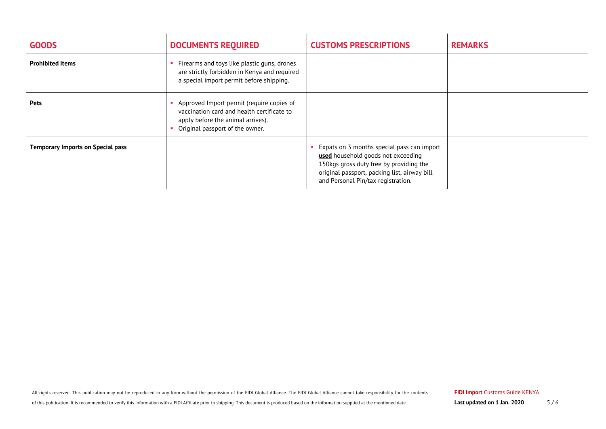| <b>GOODS</b>                             | <b>DOCUMENTS REQUIRED</b>                                                                                                                                       | <b>CUSTOMS PRESCRIPTIONS</b>                                                                                                                                                                                      | <b>REMARKS</b> |
|------------------------------------------|-----------------------------------------------------------------------------------------------------------------------------------------------------------------|-------------------------------------------------------------------------------------------------------------------------------------------------------------------------------------------------------------------|----------------|
| <b>Prohibited items</b>                  | Firearms and toys like plastic guns, drones<br>are strictly forbidden in Kenya and required<br>a special import permit before shipping.                         |                                                                                                                                                                                                                   |                |
| <b>Pets</b>                              | Approved Import permit (require copies of<br>vaccination card and health certificate to<br>apply before the animal arrives).<br>Original passport of the owner. |                                                                                                                                                                                                                   |                |
| <b>Temporary Imports on Special pass</b> |                                                                                                                                                                 | Expats on 3 months special pass can import<br>used household goods not exceeding<br>150kgs gross duty free by providing the<br>original passport, packing list, airway bill<br>and Personal Pin/tax registration. |                |